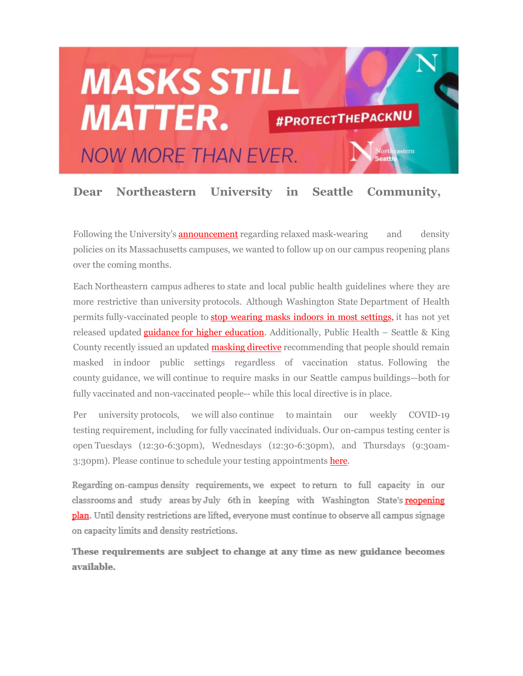

## **Dear Northeastern University in Seattle Community,**

Following the University's **[announcement](mhtml:file://C:%5CUsers%5COlivia%5CAppData%5CLocal%5CMicrosoft%5CWindows%5CINetCache%5CContent.Outlook%5CW6U72I30%5Cemail%20(003).mht!https://nam12.safelinks.protection.outlook.com/?url=https%3A%2F%2Fnews.northeastern.edu%2F2021%2F05%2F19%2Fnortheastern-to-lift-mask-wearing-physical-distancing-requirements-on-massachusetts-campuses-by-memorial-day%2F%3Fmc_cid%3D55c5b39fc1%26mc_eid%3DUNIQID&data=04%7C01%7Co.ruggieri%40northeastern.edu%7Ca208810824744101660208d91ef0e667%7Ca8eec281aaa34daeac9b9a398b9215e7%7C0%7C0%7C637574843038931247%7CUnknown%7CTWFpbGZsb3d8eyJWIjoiMC4wLjAwMDAiLCJQIjoiV2luMzIiLCJBTiI6Ik1haWwiLCJXVCI6Mn0%3D%7C1000&sdata=CXsowSZSjhiODKX0ZN4lNlvJ9RK6OsPMWnGcdEjo8RI%3D&reserved=0)** regarding relaxed mask-wearing and density policies on its Massachusetts campuses, we wanted to follow up on our campus reopening plans over the coming months.

Each Northeastern campus adheres to state and local public health guidelines where they are more restrictive than university protocols. Although Washington State Department of Health permits fully-vaccinated people to [stop wearing masks indoors in most settings,](mhtml:file://C:%5CUsers%5COlivia%5CAppData%5CLocal%5CMicrosoft%5CWindows%5CINetCache%5CContent.Outlook%5CW6U72I30%5Cemail%20(003).mht!https://nam12.safelinks.protection.outlook.com/?url=https%3A%2F%2Fwww.doh.wa.gov%2FPortals%2F1%2FDocuments%2F1600%2Fcoronavirus%2FClothFacemasks.pdf%3Fmc_cid%3D55c5b39fc1%26mc_eid%3DUNIQID&data=04%7C01%7Co.ruggieri%40northeastern.edu%7Ca208810824744101660208d91ef0e667%7Ca8eec281aaa34daeac9b9a398b9215e7%7C0%7C0%7C637574843038931247%7CUnknown%7CTWFpbGZsb3d8eyJWIjoiMC4wLjAwMDAiLCJQIjoiV2luMzIiLCJBTiI6Ik1haWwiLCJXVCI6Mn0%3D%7C1000&sdata=WExiQVr3pNnpot0OxhvRnqvQws%2BbV8il39qIoGqRjqs%3D&reserved=0) it has not yet released updated **guidance for higher education**. Additionally, Public Health – Seattle & King County recently issued an updated **[masking directive](mhtml:file://C:%5CUsers%5COlivia%5CAppData%5CLocal%5CMicrosoft%5CWindows%5CINetCache%5CContent.Outlook%5CW6U72I30%5Cemail%20(003).mht!https://nam12.safelinks.protection.outlook.com/?url=https%3A%2F%2Fkingcounty.gov%2Fdepts%2Fhealth%2Fnews%2F2021%2FMay%2F20-indoor-mask-directive.aspx%3Fmc_cid%3D55c5b39fc1%26mc_eid%3DUNIQID&data=04%7C01%7Co.ruggieri%40northeastern.edu%7Ca208810824744101660208d91ef0e667%7Ca8eec281aaa34daeac9b9a398b9215e7%7C0%7C0%7C637574843038941241%7CUnknown%7CTWFpbGZsb3d8eyJWIjoiMC4wLjAwMDAiLCJQIjoiV2luMzIiLCJBTiI6Ik1haWwiLCJXVCI6Mn0%3D%7C1000&sdata=B7r%2BO2SaprgZ1N6miW04mh9eYzt7vTngPNIANLFiX3U%3D&reserved=0)** recommending that people should remain masked in indoor public settings regardless of vaccination status. Following the county guidance, we will continue to require masks in our Seattle campus buildings—both for fully vaccinated and non-vaccinated people-- while this local directive is in place.

Per university protocols, we will also continue to maintain our weekly COVID-19 testing requirement, including for fully vaccinated individuals. Our on-campus testing center is open Tuesdays (12:30-6:30pm), Wednesdays (12:30-6:30pm), and Thursdays (9:30am3:30pm). Please continue to schedule your testing appointments [here.](mhtml:file://C:%5CUsers%5COlivia%5CAppData%5CLocal%5CMicrosoft%5CWindows%5CINetCache%5CContent.Outlook%5CW6U72I30%5Cemail%20(003).mht!https://nam12.safelinks.protection.outlook.com/?url=https%3A%2F%2Fapp.acuityscheduling.com%2Fschedule.php%3Fowner%3D20240981%26mc_cid%3D55c5b39fc1%26mc_eid%3DUNIQID&data=04%7C01%7Co.ruggieri%40northeastern.edu%7Ca208810824744101660208d91ef0e667%7Ca8eec281aaa34daeac9b9a398b9215e7%7C0%7C0%7C637574843038951237%7CUnknown%7CTWFpbGZsb3d8eyJWIjoiMC4wLjAwMDAiLCJQIjoiV2luMzIiLCJBTiI6Ik1haWwiLCJXVCI6Mn0%3D%7C1000&sdata=r%2F8umBfvJYPcBQzCKsAJshSnaYUtynefGX%2FlVo3tbz8%3D&reserved=0)

Regarding on-campus density requirements, we expect to return to full capacity in our classrooms and study areas by July 6th in keeping with Washington State's reopening **plan.** Until density restrictions are lifted, everyone must continue to observe all campus signage on capacity limits and density restrictions.

These requirements are subject to change at any time as new guidance becomes available.